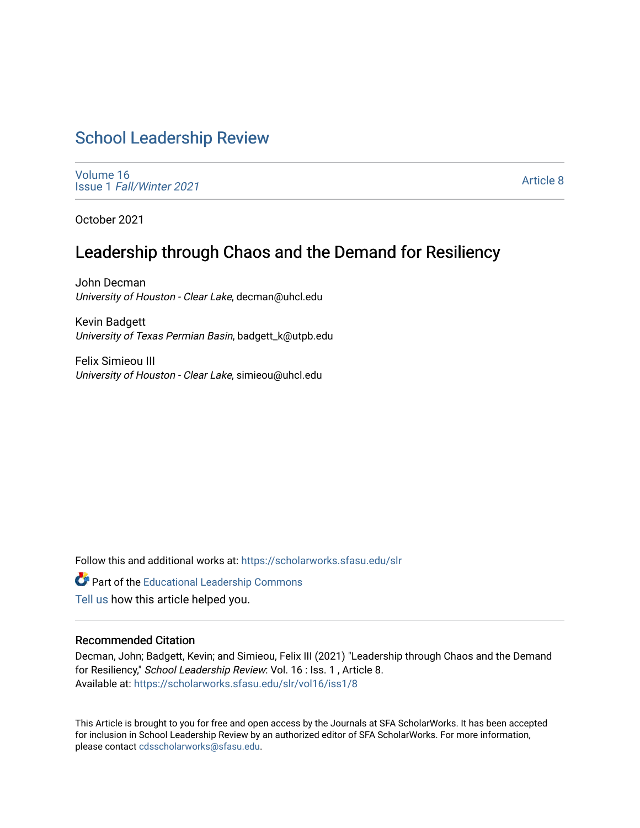# [School Leadership Review](https://scholarworks.sfasu.edu/slr)

[Volume 16](https://scholarworks.sfasu.edu/slr/vol16) Issue 1 [Fall/Winter 2021](https://scholarworks.sfasu.edu/slr/vol16/iss1) 

[Article 8](https://scholarworks.sfasu.edu/slr/vol16/iss1/8) 

October 2021

# Leadership through Chaos and the Demand for Resiliency

John Decman University of Houston - Clear Lake, decman@uhcl.edu

Kevin Badgett University of Texas Permian Basin, badgett\_k@utpb.edu

Felix Simieou III University of Houston - Clear Lake, simieou@uhcl.edu

Follow this and additional works at: [https://scholarworks.sfasu.edu/slr](https://scholarworks.sfasu.edu/slr?utm_source=scholarworks.sfasu.edu%2Fslr%2Fvol16%2Fiss1%2F8&utm_medium=PDF&utm_campaign=PDFCoverPages) 

Part of the [Educational Leadership Commons](http://network.bepress.com/hgg/discipline/1230?utm_source=scholarworks.sfasu.edu%2Fslr%2Fvol16%2Fiss1%2F8&utm_medium=PDF&utm_campaign=PDFCoverPages) 

[Tell us](http://sfasu.qualtrics.com/SE/?SID=SV_0qS6tdXftDLradv) how this article helped you.

# Recommended Citation

Decman, John; Badgett, Kevin; and Simieou, Felix III (2021) "Leadership through Chaos and the Demand for Resiliency," School Leadership Review: Vol. 16 : Iss. 1 , Article 8. Available at: [https://scholarworks.sfasu.edu/slr/vol16/iss1/8](https://scholarworks.sfasu.edu/slr/vol16/iss1/8?utm_source=scholarworks.sfasu.edu%2Fslr%2Fvol16%2Fiss1%2F8&utm_medium=PDF&utm_campaign=PDFCoverPages)

This Article is brought to you for free and open access by the Journals at SFA ScholarWorks. It has been accepted for inclusion in School Leadership Review by an authorized editor of SFA ScholarWorks. For more information, please contact [cdsscholarworks@sfasu.edu.](mailto:cdsscholarworks@sfasu.edu)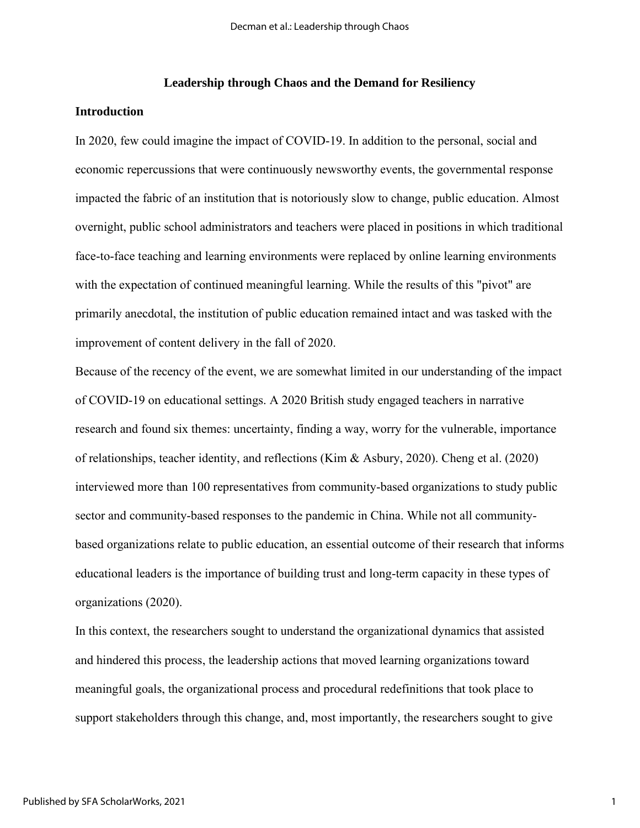## **Leadership through Chaos and the Demand for Resiliency**

## **Introduction**

In 2020, few could imagine the impact of COVID-19. In addition to the personal, social and economic repercussions that were continuously newsworthy events, the governmental response impacted the fabric of an institution that is notoriously slow to change, public education. Almost overnight, public school administrators and teachers were placed in positions in which traditional face-to-face teaching and learning environments were replaced by online learning environments with the expectation of continued meaningful learning. While the results of this "pivot" are primarily anecdotal, the institution of public education remained intact and was tasked with the improvement of content delivery in the fall of 2020.

Because of the recency of the event, we are somewhat limited in our understanding of the impact of COVID-19 on educational settings. A 2020 British study engaged teachers in narrative research and found six themes: uncertainty, finding a way, worry for the vulnerable, importance of relationships, teacher identity, and reflections (Kim & Asbury, 2020). Cheng et al. (2020) interviewed more than 100 representatives from community-based organizations to study public sector and community-based responses to the pandemic in China. While not all communitybased organizations relate to public education, an essential outcome of their research that informs educational leaders is the importance of building trust and long-term capacity in these types of organizations (2020).

In this context, the researchers sought to understand the organizational dynamics that assisted and hindered this process, the leadership actions that moved learning organizations toward meaningful goals, the organizational process and procedural redefinitions that took place to support stakeholders through this change, and, most importantly, the researchers sought to give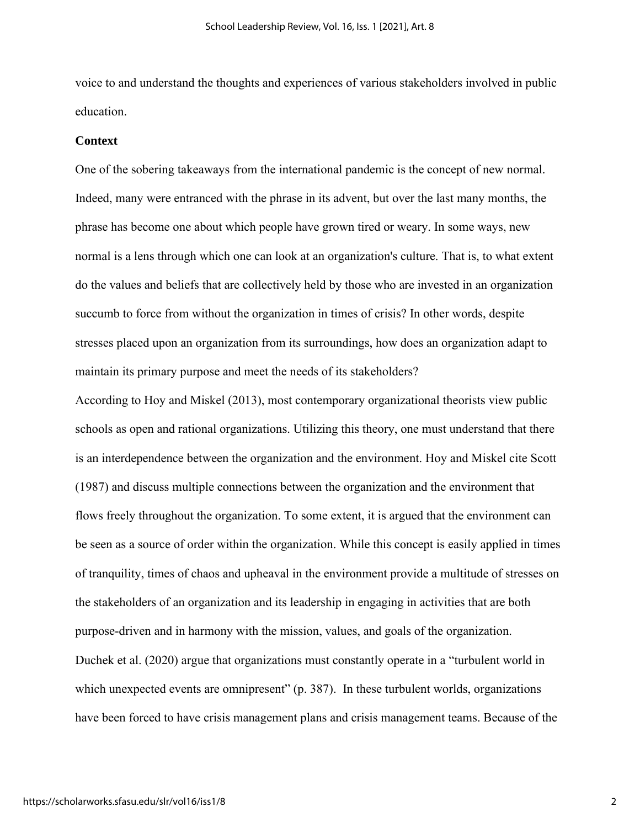voice to and understand the thoughts and experiences of various stakeholders involved in public education.

#### **Context**

One of the sobering takeaways from the international pandemic is the concept of new normal. Indeed, many were entranced with the phrase in its advent, but over the last many months, the phrase has become one about which people have grown tired or weary. In some ways, new normal is a lens through which one can look at an organization's culture. That is, to what extent do the values and beliefs that are collectively held by those who are invested in an organization succumb to force from without the organization in times of crisis? In other words, despite stresses placed upon an organization from its surroundings, how does an organization adapt to maintain its primary purpose and meet the needs of its stakeholders?

According to Hoy and Miskel (2013), most contemporary organizational theorists view public schools as open and rational organizations. Utilizing this theory, one must understand that there is an interdependence between the organization and the environment. Hoy and Miskel cite Scott (1987) and discuss multiple connections between the organization and the environment that flows freely throughout the organization. To some extent, it is argued that the environment can be seen as a source of order within the organization. While this concept is easily applied in times of tranquility, times of chaos and upheaval in the environment provide a multitude of stresses on the stakeholders of an organization and its leadership in engaging in activities that are both purpose-driven and in harmony with the mission, values, and goals of the organization. Duchek et al. (2020) argue that organizations must constantly operate in a "turbulent world in which unexpected events are omnipresent" (p. 387). In these turbulent worlds, organizations have been forced to have crisis management plans and crisis management teams. Because of the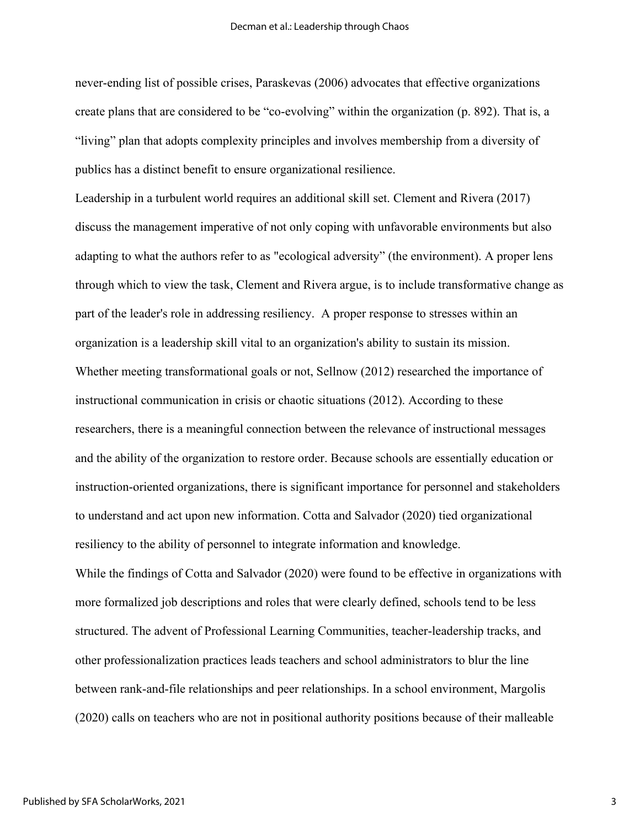never-ending list of possible crises, Paraskevas (2006) advocates that effective organizations create plans that are considered to be "co-evolving" within the organization (p. 892). That is, a "living" plan that adopts complexity principles and involves membership from a diversity of publics has a distinct benefit to ensure organizational resilience.

Leadership in a turbulent world requires an additional skill set. Clement and Rivera (2017) discuss the management imperative of not only coping with unfavorable environments but also adapting to what the authors refer to as "ecological adversity" (the environment). A proper lens through which to view the task, Clement and Rivera argue, is to include transformative change as part of the leader's role in addressing resiliency. A proper response to stresses within an organization is a leadership skill vital to an organization's ability to sustain its mission. Whether meeting transformational goals or not, Sellnow (2012) researched the importance of instructional communication in crisis or chaotic situations (2012). According to these researchers, there is a meaningful connection between the relevance of instructional messages and the ability of the organization to restore order. Because schools are essentially education or instruction-oriented organizations, there is significant importance for personnel and stakeholders to understand and act upon new information. Cotta and Salvador (2020) tied organizational resiliency to the ability of personnel to integrate information and knowledge. While the findings of Cotta and Salvador (2020) were found to be effective in organizations with more formalized job descriptions and roles that were clearly defined, schools tend to be less structured. The advent of Professional Learning Communities, teacher-leadership tracks, and other professionalization practices leads teachers and school administrators to blur the line between rank-and-file relationships and peer relationships. In a school environment, Margolis

(2020) calls on teachers who are not in positional authority positions because of their malleable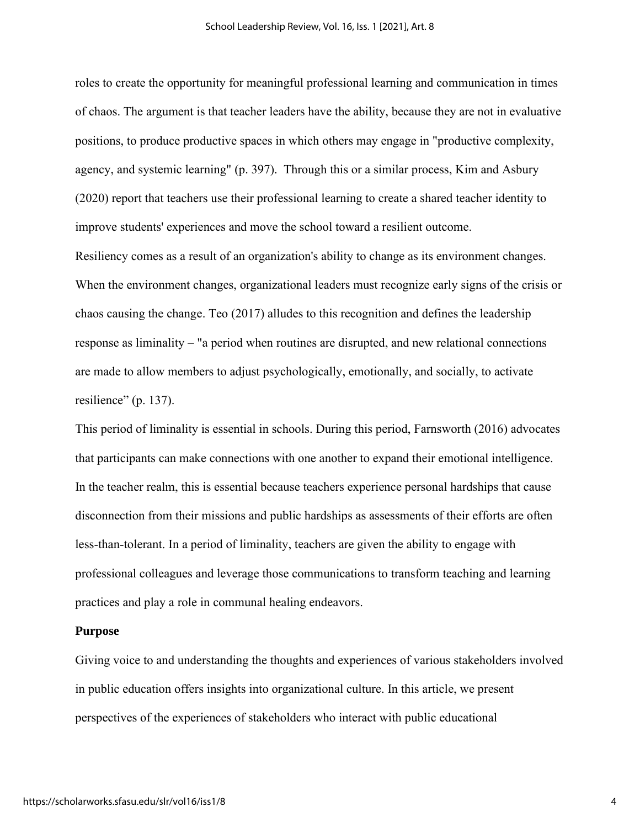roles to create the opportunity for meaningful professional learning and communication in times of chaos. The argument is that teacher leaders have the ability, because they are not in evaluative positions, to produce productive spaces in which others may engage in "productive complexity, agency, and systemic learning" (p. 397). Through this or a similar process, Kim and Asbury (2020) report that teachers use their professional learning to create a shared teacher identity to improve students' experiences and move the school toward a resilient outcome.

Resiliency comes as a result of an organization's ability to change as its environment changes. When the environment changes, organizational leaders must recognize early signs of the crisis or chaos causing the change. Teo (2017) alludes to this recognition and defines the leadership response as liminality – "a period when routines are disrupted, and new relational connections are made to allow members to adjust psychologically, emotionally, and socially, to activate resilience" (p. 137).

This period of liminality is essential in schools. During this period, Farnsworth (2016) advocates that participants can make connections with one another to expand their emotional intelligence. In the teacher realm, this is essential because teachers experience personal hardships that cause disconnection from their missions and public hardships as assessments of their efforts are often less-than-tolerant. In a period of liminality, teachers are given the ability to engage with professional colleagues and leverage those communications to transform teaching and learning practices and play a role in communal healing endeavors.

#### **Purpose**

Giving voice to and understanding the thoughts and experiences of various stakeholders involved in public education offers insights into organizational culture. In this article, we present perspectives of the experiences of stakeholders who interact with public educational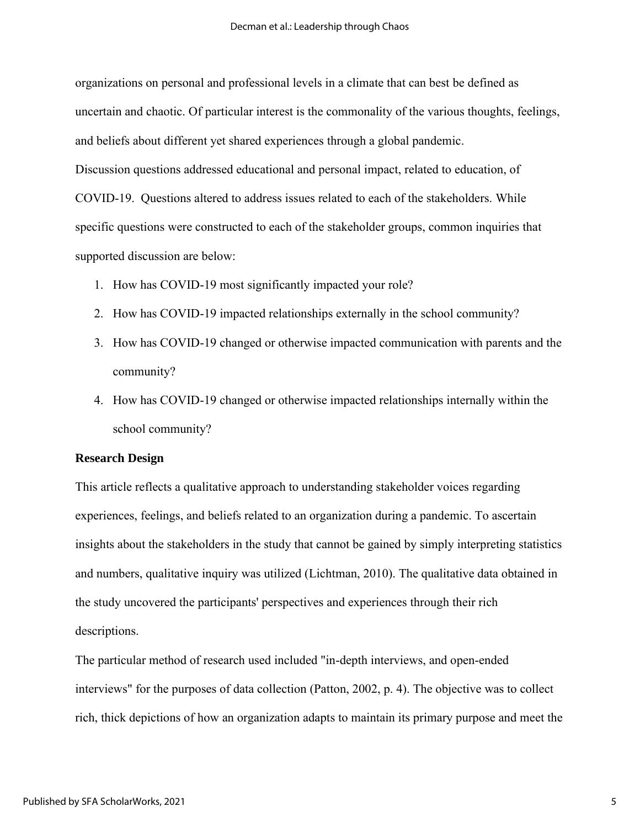organizations on personal and professional levels in a climate that can best be defined as uncertain and chaotic. Of particular interest is the commonality of the various thoughts, feelings, and beliefs about different yet shared experiences through a global pandemic. Discussion questions addressed educational and personal impact, related to education, of COVID-19. Questions altered to address issues related to each of the stakeholders. While specific questions were constructed to each of the stakeholder groups, common inquiries that supported discussion are below:

- 1. How has COVID-19 most significantly impacted your role?
- 2. How has COVID-19 impacted relationships externally in the school community?
- 3. How has COVID-19 changed or otherwise impacted communication with parents and the community?
- 4. How has COVID-19 changed or otherwise impacted relationships internally within the school community?

# **Research Design**

This article reflects a qualitative approach to understanding stakeholder voices regarding experiences, feelings, and beliefs related to an organization during a pandemic. To ascertain insights about the stakeholders in the study that cannot be gained by simply interpreting statistics and numbers, qualitative inquiry was utilized (Lichtman, 2010). The qualitative data obtained in the study uncovered the participants' perspectives and experiences through their rich descriptions.

The particular method of research used included "in-depth interviews, and open-ended interviews" for the purposes of data collection (Patton, 2002, p. 4). The objective was to collect rich, thick depictions of how an organization adapts to maintain its primary purpose and meet the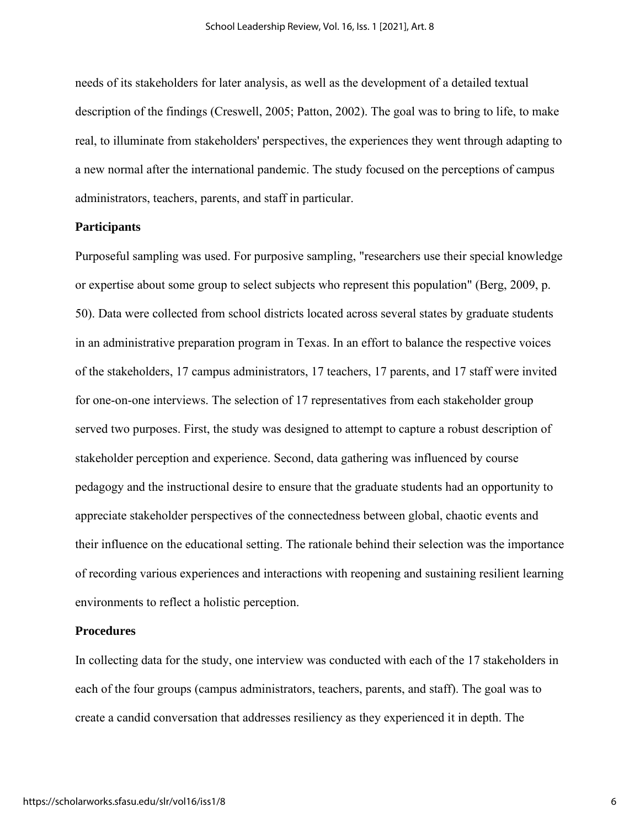needs of its stakeholders for later analysis, as well as the development of a detailed textual description of the findings (Creswell, 2005; Patton, 2002). The goal was to bring to life, to make real, to illuminate from stakeholders' perspectives, the experiences they went through adapting to a new normal after the international pandemic. The study focused on the perceptions of campus administrators, teachers, parents, and staff in particular.

# **Participants**

Purposeful sampling was used. For purposive sampling, "researchers use their special knowledge or expertise about some group to select subjects who represent this population" (Berg, 2009, p. 50). Data were collected from school districts located across several states by graduate students in an administrative preparation program in Texas. In an effort to balance the respective voices of the stakeholders, 17 campus administrators, 17 teachers, 17 parents, and 17 staff were invited for one-on-one interviews. The selection of 17 representatives from each stakeholder group served two purposes. First, the study was designed to attempt to capture a robust description of stakeholder perception and experience. Second, data gathering was influenced by course pedagogy and the instructional desire to ensure that the graduate students had an opportunity to appreciate stakeholder perspectives of the connectedness between global, chaotic events and their influence on the educational setting. The rationale behind their selection was the importance of recording various experiences and interactions with reopening and sustaining resilient learning environments to reflect a holistic perception.

#### **Procedures**

In collecting data for the study, one interview was conducted with each of the 17 stakeholders in each of the four groups (campus administrators, teachers, parents, and staff). The goal was to create a candid conversation that addresses resiliency as they experienced it in depth. The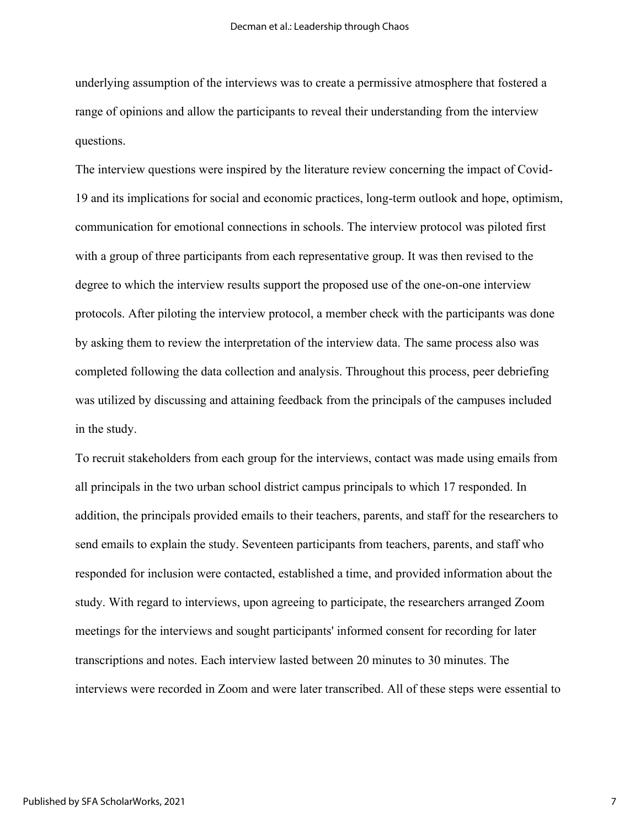underlying assumption of the interviews was to create a permissive atmosphere that fostered a range of opinions and allow the participants to reveal their understanding from the interview questions.

The interview questions were inspired by the literature review concerning the impact of Covid-19 and its implications for social and economic practices, long-term outlook and hope, optimism, communication for emotional connections in schools. The interview protocol was piloted first with a group of three participants from each representative group. It was then revised to the degree to which the interview results support the proposed use of the one-on-one interview protocols. After piloting the interview protocol, a member check with the participants was done by asking them to review the interpretation of the interview data. The same process also was completed following the data collection and analysis. Throughout this process, peer debriefing was utilized by discussing and attaining feedback from the principals of the campuses included in the study.

To recruit stakeholders from each group for the interviews, contact was made using emails from all principals in the two urban school district campus principals to which 17 responded. In addition, the principals provided emails to their teachers, parents, and staff for the researchers to send emails to explain the study. Seventeen participants from teachers, parents, and staff who responded for inclusion were contacted, established a time, and provided information about the study. With regard to interviews, upon agreeing to participate, the researchers arranged Zoom meetings for the interviews and sought participants' informed consent for recording for later transcriptions and notes. Each interview lasted between 20 minutes to 30 minutes. The interviews were recorded in Zoom and were later transcribed. All of these steps were essential to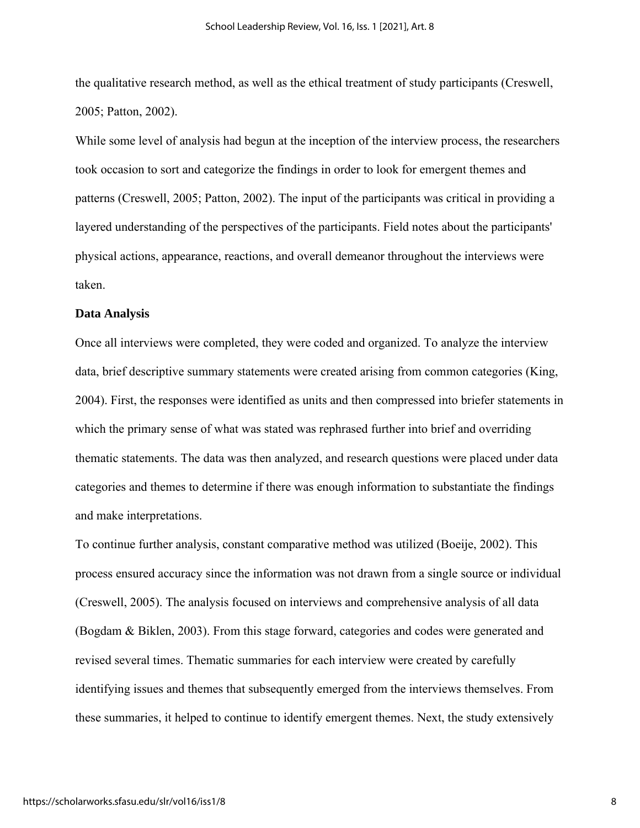the qualitative research method, as well as the ethical treatment of study participants (Creswell, 2005; Patton, 2002).

While some level of analysis had begun at the inception of the interview process, the researchers took occasion to sort and categorize the findings in order to look for emergent themes and patterns (Creswell, 2005; Patton, 2002). The input of the participants was critical in providing a layered understanding of the perspectives of the participants. Field notes about the participants' physical actions, appearance, reactions, and overall demeanor throughout the interviews were taken.

#### **Data Analysis**

Once all interviews were completed, they were coded and organized. To analyze the interview data, brief descriptive summary statements were created arising from common categories (King, 2004). First, the responses were identified as units and then compressed into briefer statements in which the primary sense of what was stated was rephrased further into brief and overriding thematic statements. The data was then analyzed, and research questions were placed under data categories and themes to determine if there was enough information to substantiate the findings and make interpretations.

To continue further analysis, constant comparative method was utilized (Boeije, 2002). This process ensured accuracy since the information was not drawn from a single source or individual (Creswell, 2005). The analysis focused on interviews and comprehensive analysis of all data (Bogdam & Biklen, 2003). From this stage forward, categories and codes were generated and revised several times. Thematic summaries for each interview were created by carefully identifying issues and themes that subsequently emerged from the interviews themselves. From these summaries, it helped to continue to identify emergent themes. Next, the study extensively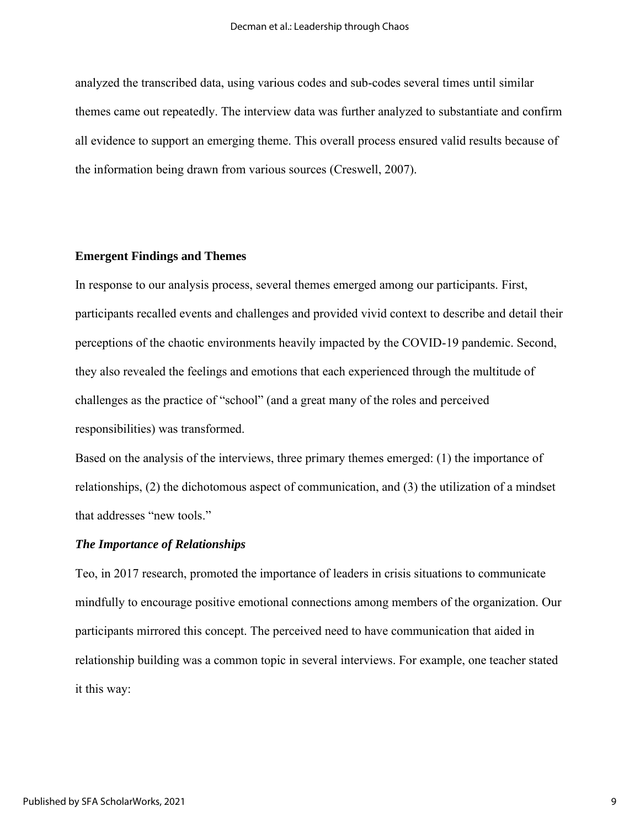analyzed the transcribed data, using various codes and sub-codes several times until similar themes came out repeatedly. The interview data was further analyzed to substantiate and confirm all evidence to support an emerging theme. This overall process ensured valid results because of the information being drawn from various sources (Creswell, 2007).

# **Emergent Findings and Themes**

In response to our analysis process, several themes emerged among our participants. First, participants recalled events and challenges and provided vivid context to describe and detail their perceptions of the chaotic environments heavily impacted by the COVID-19 pandemic. Second, they also revealed the feelings and emotions that each experienced through the multitude of challenges as the practice of "school" (and a great many of the roles and perceived responsibilities) was transformed.

Based on the analysis of the interviews, three primary themes emerged: (1) the importance of relationships, (2) the dichotomous aspect of communication, and (3) the utilization of a mindset that addresses "new tools."

## *The Importance of Relationships*

Teo, in 2017 research, promoted the importance of leaders in crisis situations to communicate mindfully to encourage positive emotional connections among members of the organization. Our participants mirrored this concept. The perceived need to have communication that aided in relationship building was a common topic in several interviews. For example, one teacher stated it this way: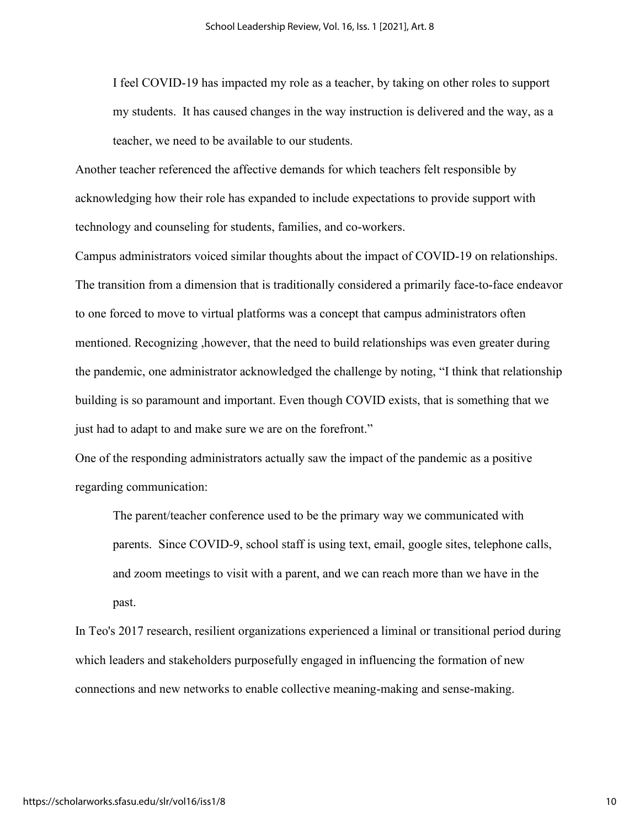I feel COVID-19 has impacted my role as a teacher, by taking on other roles to support my students. It has caused changes in the way instruction is delivered and the way, as a teacher, we need to be available to our students.

Another teacher referenced the affective demands for which teachers felt responsible by acknowledging how their role has expanded to include expectations to provide support with technology and counseling for students, families, and co-workers.

Campus administrators voiced similar thoughts about the impact of COVID-19 on relationships. The transition from a dimension that is traditionally considered a primarily face-to-face endeavor to one forced to move to virtual platforms was a concept that campus administrators often mentioned. Recognizing ,however, that the need to build relationships was even greater during the pandemic, one administrator acknowledged the challenge by noting, "I think that relationship building is so paramount and important. Even though COVID exists, that is something that we just had to adapt to and make sure we are on the forefront."

One of the responding administrators actually saw the impact of the pandemic as a positive regarding communication:

The parent/teacher conference used to be the primary way we communicated with parents. Since COVID-9, school staff is using text, email, google sites, telephone calls, and zoom meetings to visit with a parent, and we can reach more than we have in the past.

In Teo's 2017 research, resilient organizations experienced a liminal or transitional period during which leaders and stakeholders purposefully engaged in influencing the formation of new connections and new networks to enable collective meaning-making and sense-making.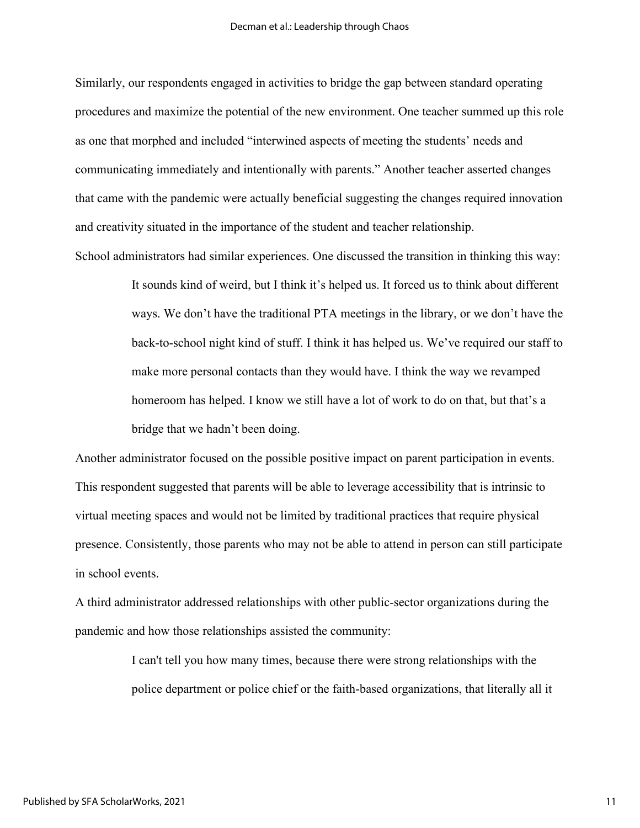Similarly, our respondents engaged in activities to bridge the gap between standard operating procedures and maximize the potential of the new environment. One teacher summed up this role as one that morphed and included "interwined aspects of meeting the students' needs and communicating immediately and intentionally with parents." Another teacher asserted changes that came with the pandemic were actually beneficial suggesting the changes required innovation and creativity situated in the importance of the student and teacher relationship.

School administrators had similar experiences. One discussed the transition in thinking this way: It sounds kind of weird, but I think it's helped us. It forced us to think about different ways. We don't have the traditional PTA meetings in the library, or we don't have the back-to-school night kind of stuff. I think it has helped us. We've required our staff to make more personal contacts than they would have. I think the way we revamped homeroom has helped. I know we still have a lot of work to do on that, but that's a bridge that we hadn't been doing.

Another administrator focused on the possible positive impact on parent participation in events. This respondent suggested that parents will be able to leverage accessibility that is intrinsic to virtual meeting spaces and would not be limited by traditional practices that require physical presence. Consistently, those parents who may not be able to attend in person can still participate in school events.

A third administrator addressed relationships with other public-sector organizations during the pandemic and how those relationships assisted the community:

> I can't tell you how many times, because there were strong relationships with the police department or police chief or the faith-based organizations, that literally all it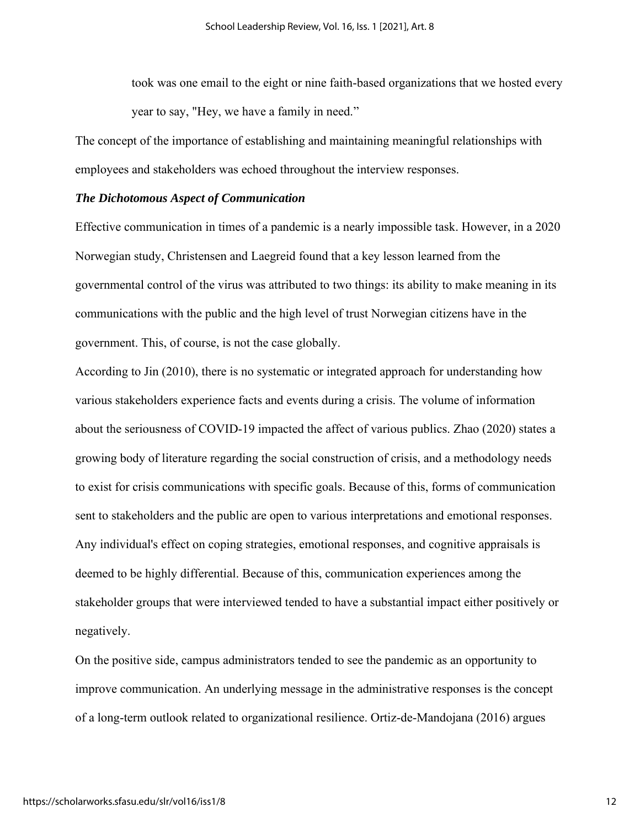took was one email to the eight or nine faith-based organizations that we hosted every year to say, "Hey, we have a family in need."

The concept of the importance of establishing and maintaining meaningful relationships with employees and stakeholders was echoed throughout the interview responses.

#### *The Dichotomous Aspect of Communication*

Effective communication in times of a pandemic is a nearly impossible task. However, in a 2020 Norwegian study, Christensen and Laegreid found that a key lesson learned from the governmental control of the virus was attributed to two things: its ability to make meaning in its communications with the public and the high level of trust Norwegian citizens have in the government. This, of course, is not the case globally.

According to Jin (2010), there is no systematic or integrated approach for understanding how various stakeholders experience facts and events during a crisis. The volume of information about the seriousness of COVID-19 impacted the affect of various publics. Zhao (2020) states a growing body of literature regarding the social construction of crisis, and a methodology needs to exist for crisis communications with specific goals. Because of this, forms of communication sent to stakeholders and the public are open to various interpretations and emotional responses. Any individual's effect on coping strategies, emotional responses, and cognitive appraisals is deemed to be highly differential. Because of this, communication experiences among the stakeholder groups that were interviewed tended to have a substantial impact either positively or negatively.

On the positive side, campus administrators tended to see the pandemic as an opportunity to improve communication. An underlying message in the administrative responses is the concept of a long-term outlook related to organizational resilience. Ortiz-de-Mandojana (2016) argues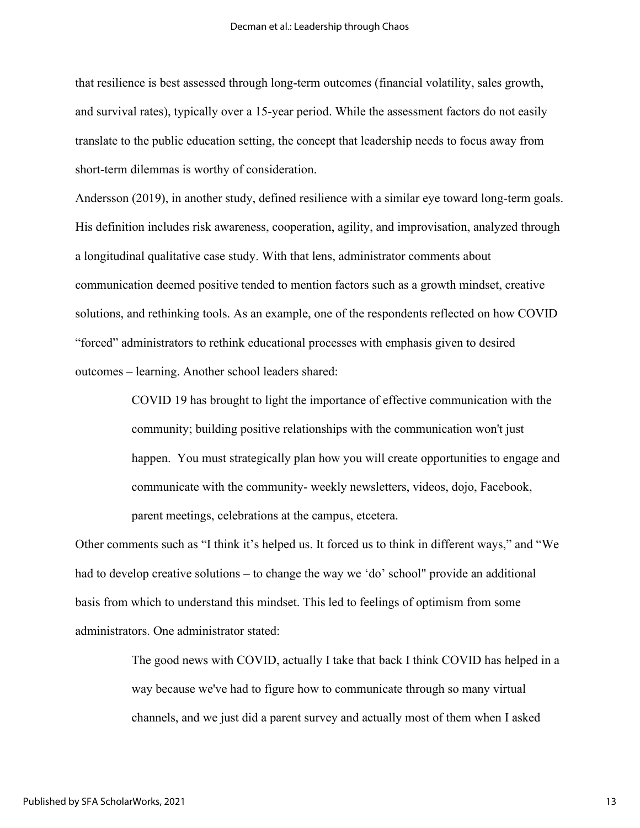that resilience is best assessed through long-term outcomes (financial volatility, sales growth, and survival rates), typically over a 15-year period. While the assessment factors do not easily translate to the public education setting, the concept that leadership needs to focus away from short-term dilemmas is worthy of consideration.

Andersson (2019), in another study, defined resilience with a similar eye toward long-term goals. His definition includes risk awareness, cooperation, agility, and improvisation, analyzed through a longitudinal qualitative case study. With that lens, administrator comments about communication deemed positive tended to mention factors such as a growth mindset, creative solutions, and rethinking tools. As an example, one of the respondents reflected on how COVID "forced" administrators to rethink educational processes with emphasis given to desired outcomes – learning. Another school leaders shared:

> COVID 19 has brought to light the importance of effective communication with the community; building positive relationships with the communication won't just happen. You must strategically plan how you will create opportunities to engage and communicate with the community- weekly newsletters, videos, dojo, Facebook, parent meetings, celebrations at the campus, etcetera.

Other comments such as "I think it's helped us. It forced us to think in different ways," and "We had to develop creative solutions – to change the way we 'do' school" provide an additional basis from which to understand this mindset. This led to feelings of optimism from some administrators. One administrator stated:

> The good news with COVID, actually I take that back I think COVID has helped in a way because we've had to figure how to communicate through so many virtual channels, and we just did a parent survey and actually most of them when I asked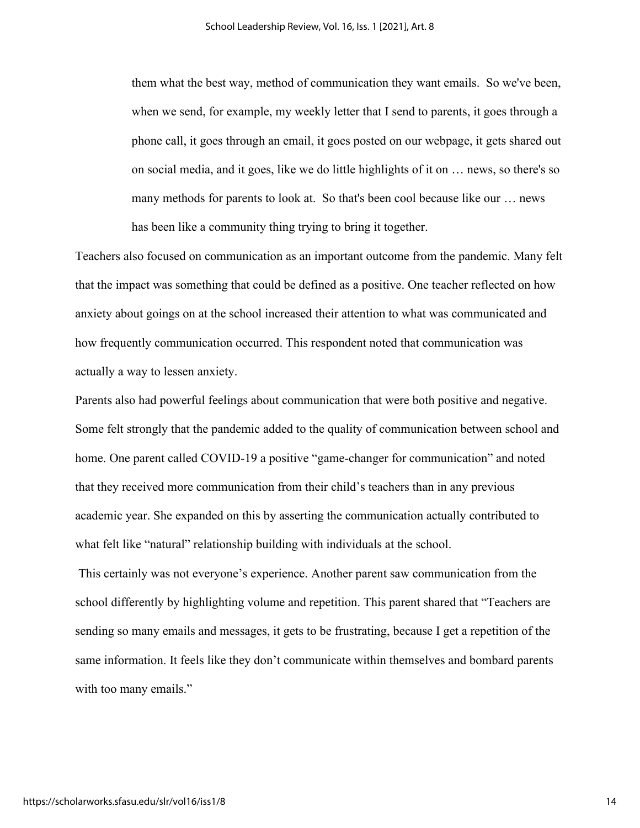them what the best way, method of communication they want emails. So we've been, when we send, for example, my weekly letter that I send to parents, it goes through a phone call, it goes through an email, it goes posted on our webpage, it gets shared out on social media, and it goes, like we do little highlights of it on … news, so there's so many methods for parents to look at. So that's been cool because like our … news has been like a community thing trying to bring it together.

Teachers also focused on communication as an important outcome from the pandemic. Many felt that the impact was something that could be defined as a positive. One teacher reflected on how anxiety about goings on at the school increased their attention to what was communicated and how frequently communication occurred. This respondent noted that communication was actually a way to lessen anxiety.

Parents also had powerful feelings about communication that were both positive and negative. Some felt strongly that the pandemic added to the quality of communication between school and home. One parent called COVID-19 a positive "game-changer for communication" and noted that they received more communication from their child's teachers than in any previous academic year. She expanded on this by asserting the communication actually contributed to what felt like "natural" relationship building with individuals at the school.

This certainly was not everyone's experience. Another parent saw communication from the school differently by highlighting volume and repetition. This parent shared that "Teachers are sending so many emails and messages, it gets to be frustrating, because I get a repetition of the same information. It feels like they don't communicate within themselves and bombard parents with too many emails."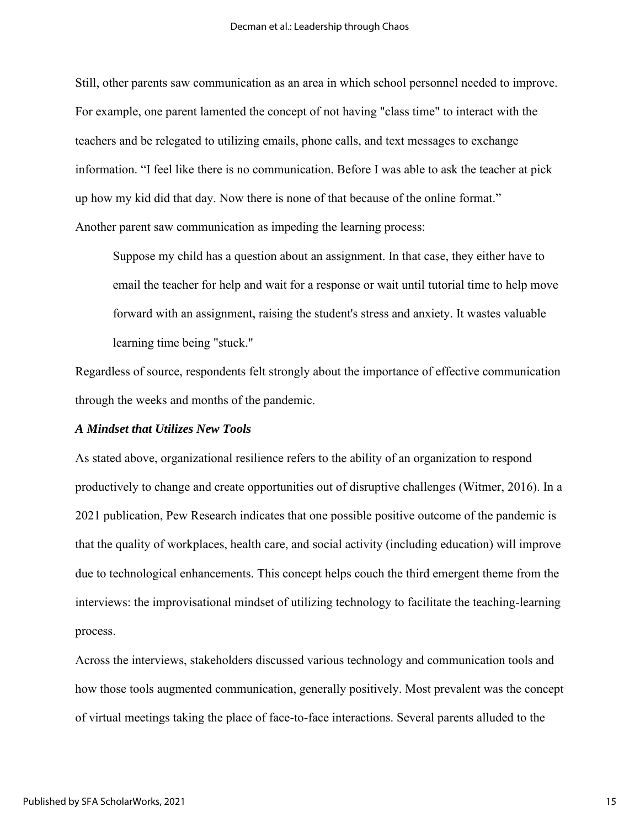Still, other parents saw communication as an area in which school personnel needed to improve. For example, one parent lamented the concept of not having "class time" to interact with the teachers and be relegated to utilizing emails, phone calls, and text messages to exchange information. "I feel like there is no communication. Before I was able to ask the teacher at pick up how my kid did that day. Now there is none of that because of the online format." Another parent saw communication as impeding the learning process:

Suppose my child has a question about an assignment. In that case, they either have to email the teacher for help and wait for a response or wait until tutorial time to help move forward with an assignment, raising the student's stress and anxiety. It wastes valuable learning time being "stuck."

Regardless of source, respondents felt strongly about the importance of effective communication through the weeks and months of the pandemic.

# *A Mindset that Utilizes New Tools*

As stated above, organizational resilience refers to the ability of an organization to respond productively to change and create opportunities out of disruptive challenges (Witmer, 2016). In a 2021 publication, Pew Research indicates that one possible positive outcome of the pandemic is that the quality of workplaces, health care, and social activity (including education) will improve due to technological enhancements. This concept helps couch the third emergent theme from the interviews: the improvisational mindset of utilizing technology to facilitate the teaching-learning process.

Across the interviews, stakeholders discussed various technology and communication tools and how those tools augmented communication, generally positively. Most prevalent was the concept of virtual meetings taking the place of face-to-face interactions. Several parents alluded to the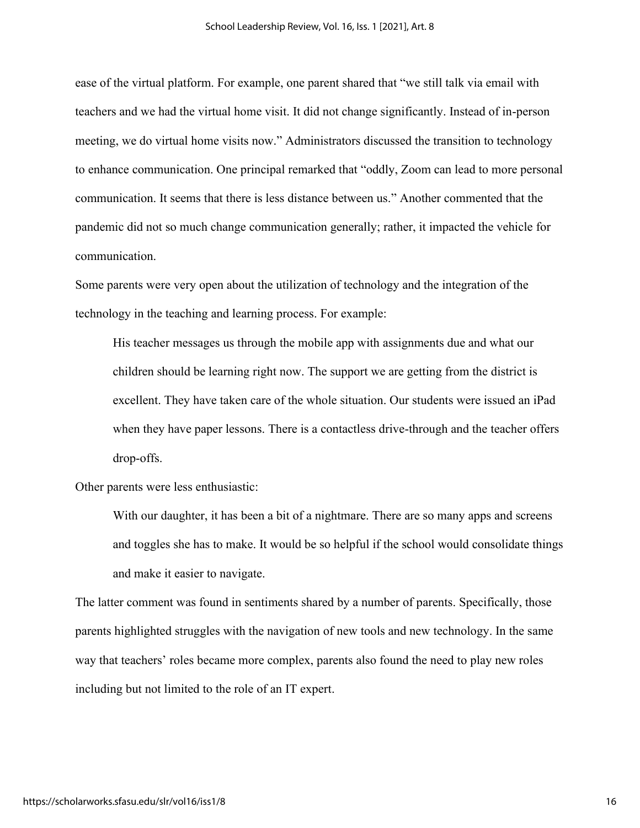ease of the virtual platform. For example, one parent shared that "we still talk via email with teachers and we had the virtual home visit. It did not change significantly. Instead of in-person meeting, we do virtual home visits now." Administrators discussed the transition to technology to enhance communication. One principal remarked that "oddly, Zoom can lead to more personal communication. It seems that there is less distance between us." Another commented that the pandemic did not so much change communication generally; rather, it impacted the vehicle for communication.

Some parents were very open about the utilization of technology and the integration of the technology in the teaching and learning process. For example:

His teacher messages us through the mobile app with assignments due and what our children should be learning right now. The support we are getting from the district is excellent. They have taken care of the whole situation. Our students were issued an iPad when they have paper lessons. There is a contactless drive-through and the teacher offers drop-offs.

Other parents were less enthusiastic:

With our daughter, it has been a bit of a nightmare. There are so many apps and screens and toggles she has to make. It would be so helpful if the school would consolidate things and make it easier to navigate.

The latter comment was found in sentiments shared by a number of parents. Specifically, those parents highlighted struggles with the navigation of new tools and new technology. In the same way that teachers' roles became more complex, parents also found the need to play new roles including but not limited to the role of an IT expert.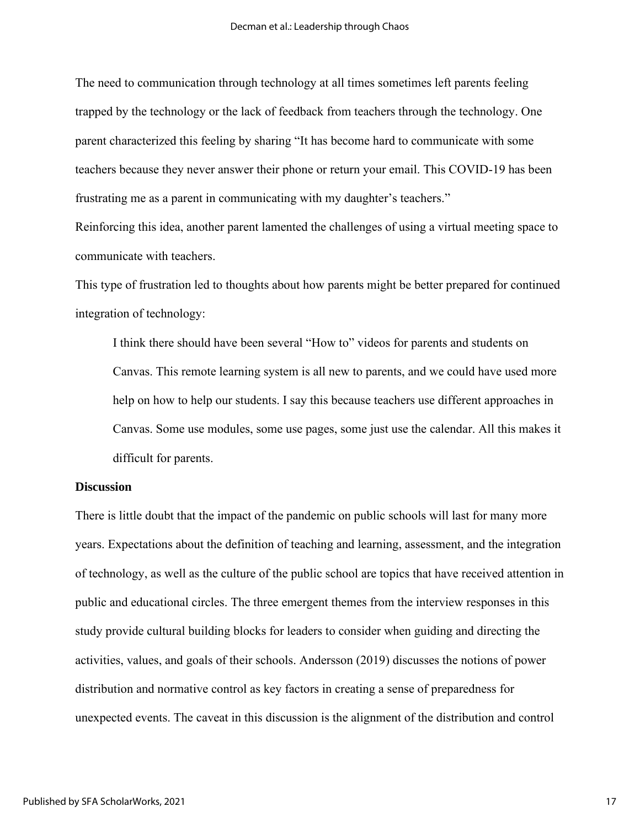The need to communication through technology at all times sometimes left parents feeling trapped by the technology or the lack of feedback from teachers through the technology. One parent characterized this feeling by sharing "It has become hard to communicate with some teachers because they never answer their phone or return your email. This COVID-19 has been frustrating me as a parent in communicating with my daughter's teachers."

Reinforcing this idea, another parent lamented the challenges of using a virtual meeting space to communicate with teachers.

This type of frustration led to thoughts about how parents might be better prepared for continued integration of technology:

I think there should have been several "How to" videos for parents and students on Canvas. This remote learning system is all new to parents, and we could have used more help on how to help our students. I say this because teachers use different approaches in Canvas. Some use modules, some use pages, some just use the calendar. All this makes it difficult for parents.

# **Discussion**

There is little doubt that the impact of the pandemic on public schools will last for many more years. Expectations about the definition of teaching and learning, assessment, and the integration of technology, as well as the culture of the public school are topics that have received attention in public and educational circles. The three emergent themes from the interview responses in this study provide cultural building blocks for leaders to consider when guiding and directing the activities, values, and goals of their schools. Andersson (2019) discusses the notions of power distribution and normative control as key factors in creating a sense of preparedness for unexpected events. The caveat in this discussion is the alignment of the distribution and control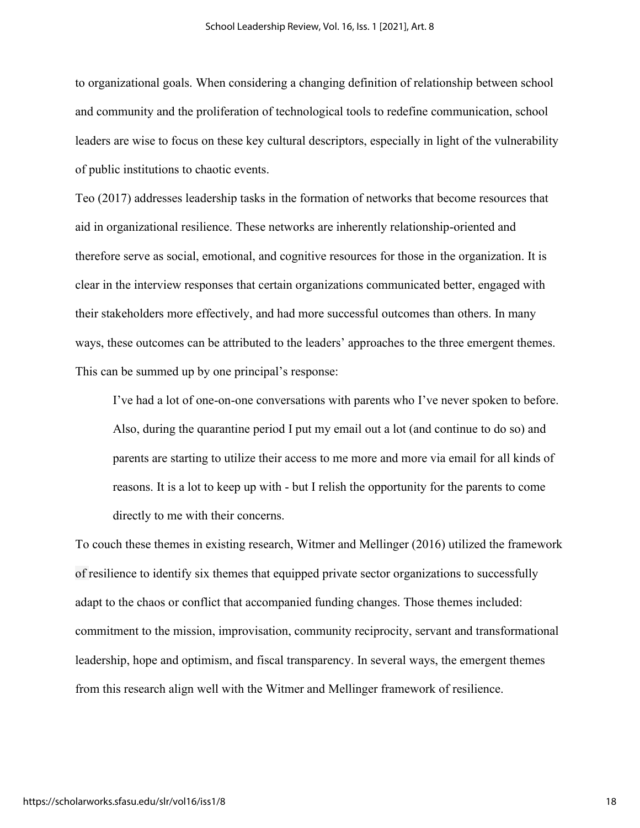to organizational goals. When considering a changing definition of relationship between school and community and the proliferation of technological tools to redefine communication, school leaders are wise to focus on these key cultural descriptors, especially in light of the vulnerability of public institutions to chaotic events.

Teo (2017) addresses leadership tasks in the formation of networks that become resources that aid in organizational resilience. These networks are inherently relationship-oriented and therefore serve as social, emotional, and cognitive resources for those in the organization. It is clear in the interview responses that certain organizations communicated better, engaged with their stakeholders more effectively, and had more successful outcomes than others. In many ways, these outcomes can be attributed to the leaders' approaches to the three emergent themes. This can be summed up by one principal's response:

I've had a lot of one-on-one conversations with parents who I've never spoken to before. Also, during the quarantine period I put my email out a lot (and continue to do so) and parents are starting to utilize their access to me more and more via email for all kinds of reasons. It is a lot to keep up with - but I relish the opportunity for the parents to come directly to me with their concerns.

To couch these themes in existing research, Witmer and Mellinger (2016) utilized the framework of resilience to identify six themes that equipped private sector organizations to successfully adapt to the chaos or conflict that accompanied funding changes. Those themes included: commitment to the mission, improvisation, community reciprocity, servant and transformational leadership, hope and optimism, and fiscal transparency. In several ways, the emergent themes from this research align well with the Witmer and Mellinger framework of resilience.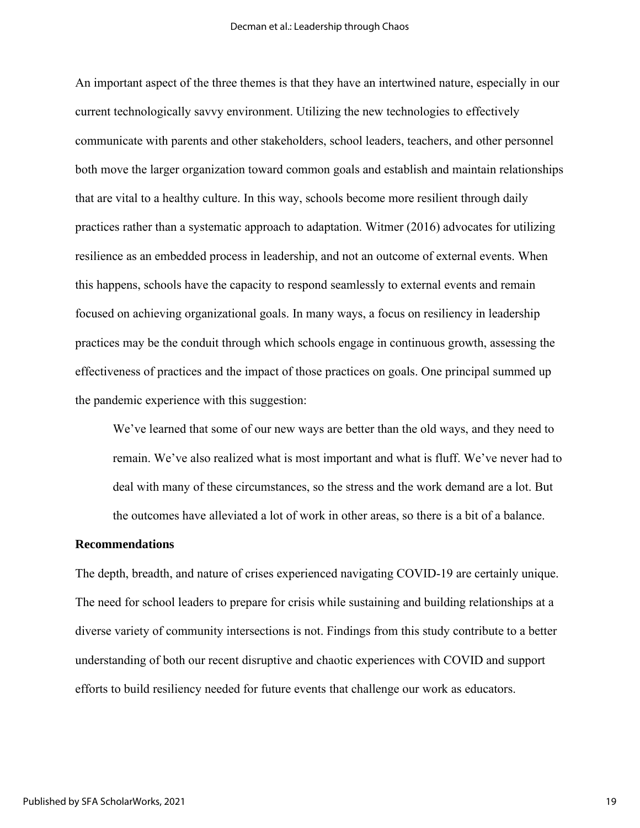An important aspect of the three themes is that they have an intertwined nature, especially in our current technologically savvy environment. Utilizing the new technologies to effectively communicate with parents and other stakeholders, school leaders, teachers, and other personnel both move the larger organization toward common goals and establish and maintain relationships that are vital to a healthy culture. In this way, schools become more resilient through daily practices rather than a systematic approach to adaptation. Witmer (2016) advocates for utilizing resilience as an embedded process in leadership, and not an outcome of external events. When this happens, schools have the capacity to respond seamlessly to external events and remain focused on achieving organizational goals. In many ways, a focus on resiliency in leadership practices may be the conduit through which schools engage in continuous growth, assessing the effectiveness of practices and the impact of those practices on goals. One principal summed up the pandemic experience with this suggestion:

We've learned that some of our new ways are better than the old ways, and they need to remain. We've also realized what is most important and what is fluff. We've never had to deal with many of these circumstances, so the stress and the work demand are a lot. But the outcomes have alleviated a lot of work in other areas, so there is a bit of a balance.

## **Recommendations**

The depth, breadth, and nature of crises experienced navigating COVID-19 are certainly unique. The need for school leaders to prepare for crisis while sustaining and building relationships at a diverse variety of community intersections is not. Findings from this study contribute to a better understanding of both our recent disruptive and chaotic experiences with COVID and support efforts to build resiliency needed for future events that challenge our work as educators.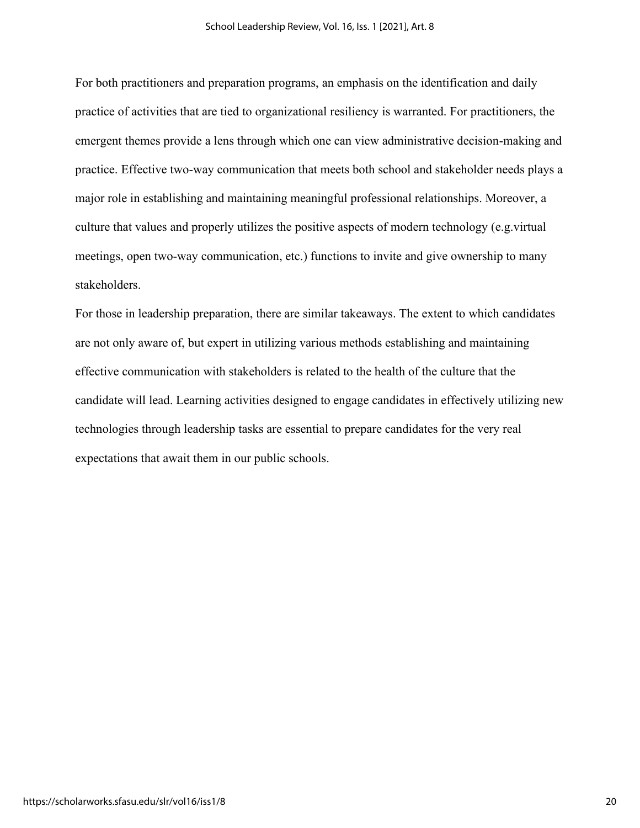For both practitioners and preparation programs, an emphasis on the identification and daily practice of activities that are tied to organizational resiliency is warranted. For practitioners, the emergent themes provide a lens through which one can view administrative decision-making and practice. Effective two-way communication that meets both school and stakeholder needs plays a major role in establishing and maintaining meaningful professional relationships. Moreover, a culture that values and properly utilizes the positive aspects of modern technology (e.g.virtual meetings, open two-way communication, etc.) functions to invite and give ownership to many stakeholders.

For those in leadership preparation, there are similar takeaways. The extent to which candidates are not only aware of, but expert in utilizing various methods establishing and maintaining effective communication with stakeholders is related to the health of the culture that the candidate will lead. Learning activities designed to engage candidates in effectively utilizing new technologies through leadership tasks are essential to prepare candidates for the very real expectations that await them in our public schools.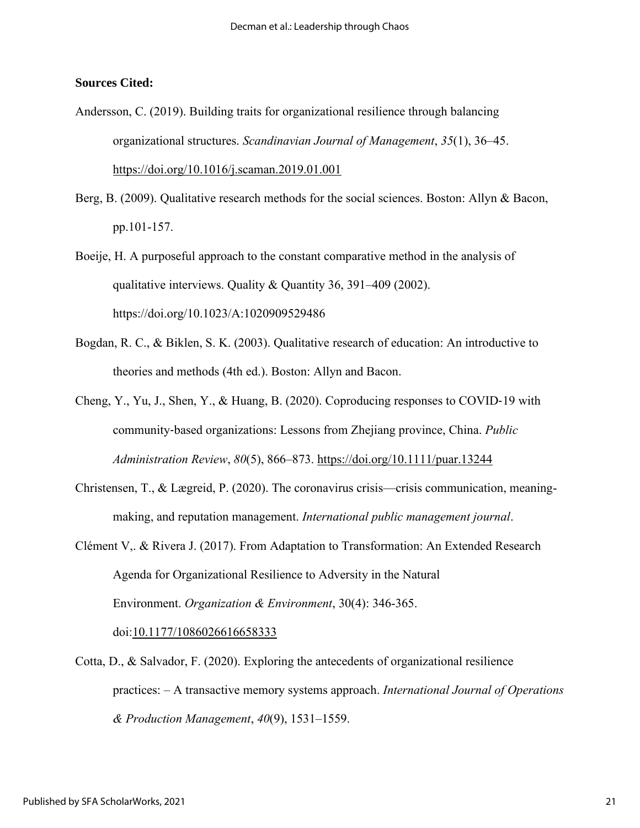# **Sources Cited:**

- Andersson, C. (2019). Building traits for organizational resilience through balancing organizational structures. *Scandinavian Journal of Management*, *35*(1), 36–45[.](https://doi.org/10.1016/j.scaman.2019.01.001) <https://doi.org/10.1016/j.scaman.2019.01.001>
- Berg, B. (2009). Qualitative research methods for the social sciences. Boston: Allyn & Bacon, pp.101-157.
- Boeije, H. A purposeful approach to the constant comparative method in the analysis of qualitative interviews. Quality & Quantity 36, 391–409 (2002). https://doi.org/10.1023/A:1020909529486
- Bogdan, R. C., & Biklen, S. K. (2003). Qualitative research of education: An introductive to theories and methods (4th ed.). Boston: Allyn and Bacon.
- Cheng, Y., Yu, J., Shen, Y., & Huang, B. (2020). Coproducing responses to COVID‐19 with community‐based organizations: Lessons from Zhejiang province, China. *Public Administration Review*, *80*(5), 866–873.<https://doi.org/10.1111/puar.13244>
- Christensen, T., & Lægreid, P. (2020). The coronavirus crisis—crisis communication, meaningmaking, and reputation management. *International public management journal*.
- Clément V,. & Rivera J. (2017). From Adaptation to Transformation: An Extended Research Agenda for Organizational Resilience to Adversity in the Natural Environment. *Organization & Environment*, 30(4): 346-365. doi[:10.1177/1086026616658333](https://doi.org/10.1177/1086026616658333)
- Cotta, D., & Salvador, F. (2020). Exploring the antecedents of organizational resilience practices: – A transactive memory systems approach. *International Journal of Operations & Production Management*, *40*(9), 1531–1559.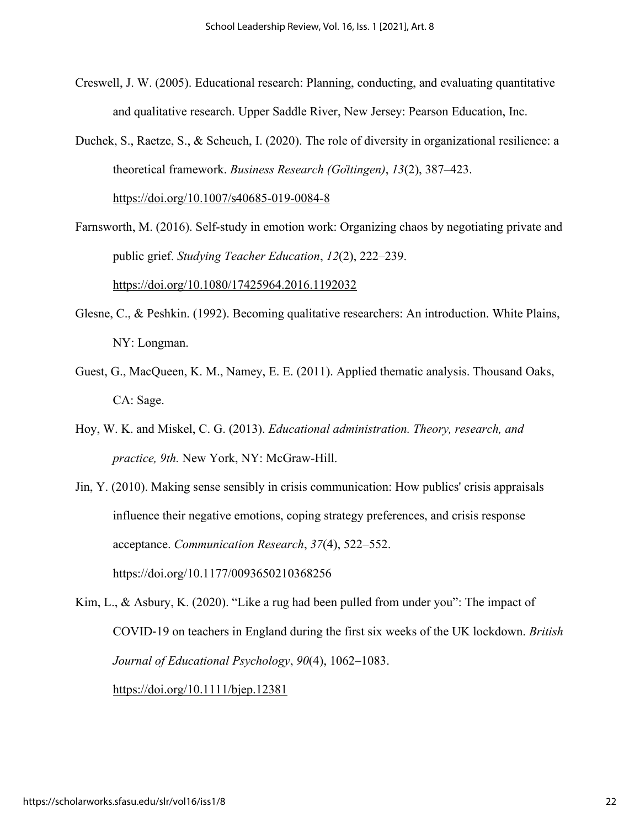- Creswell, J. W. (2005). Educational research: Planning, conducting, and evaluating quantitative and qualitative research. Upper Saddle River, New Jersey: Pearson Education, Inc.
- Duchek, S., Raetze, S., & Scheuch, I. (2020). The role of diversity in organizational resilience: a theoretical framework. *Business Research (Göttingen)*, *13*(2), 387–423.

<https://doi.org/10.1007/s40685-019-0084-8>

Farnsworth, M. (2016). Self-study in emotion work: Organizing chaos by negotiating private and public grief. *Studying Teacher Education*, *12*(2), 222–239.

<https://doi.org/10.1080/17425964.2016.1192032>

- Glesne, C., & Peshkin. (1992). Becoming qualitative researchers: An introduction. White Plains, NY: Longman.
- Guest, G., MacQueen, K. M., Namey, E. E. (2011). Applied thematic analysis. Thousand Oaks, CA: Sage.
- Hoy, W. K. and Miskel, C. G. (2013). *Educational administration. Theory, research, and practice, 9th.* New York, NY: McGraw-Hill.
- Jin, Y. (2010). Making sense sensibly in crisis communication: How publics' crisis appraisals influence their negative emotions, coping strategy preferences, and crisis response acceptance. *Communication Research*, *37*(4), 522–552. https://doi.org/10.1177/0093650210368256

Kim, L., & Asbury, K. (2020). "Like a rug had been pulled from under you": The impact of COVID‐19 on teachers in England during the first six weeks of the UK lockdown. *British Journal of Educational Psychology*, *90*(4), 1062–1083. <https://doi.org/10.1111/bjep.12381>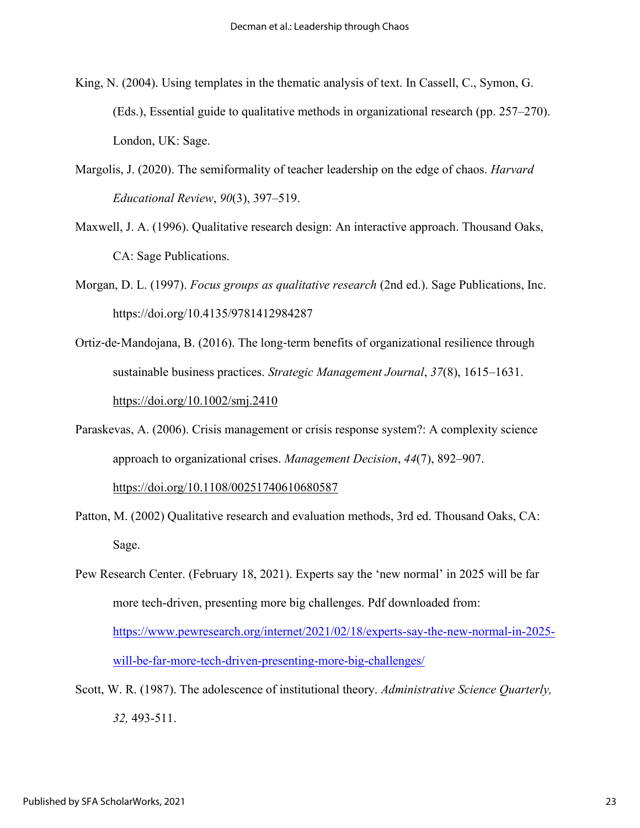- King, N. (2004). Using templates in the thematic analysis of text. In Cassell, C., Symon, G. (Eds.), Essential guide to qualitative methods in organizational research (pp. 257–270). London, UK: Sage.
- Margolis, J. (2020). The semiformality of teacher leadership on the edge of chaos. *Harvard Educational Review*, *90*(3), 397–519.
- Maxwell, J. A. (1996). Qualitative research design: An interactive approach. Thousand Oaks, CA: Sage Publications.
- Morgan, D. L. (1997). *Focus groups as qualitative research* (2nd ed.). Sage Publications, Inc. https://doi.org/10.4135/9781412984287
- Ortiz‐de‐Mandojana, B. (2016). The long‐term benefits of organizational resilience through sustainable business practices. *Strategic Management Journal*, *37*(8), 1615–1631[.](https://doi.org/10.1002/smj.2410) <https://doi.org/10.1002/smj.2410>
- Paraskevas, A. (2006). Crisis management or crisis response system?: A complexity science approach to organizational crises. *Management Decision*, *44*(7), 892–907. <https://doi.org/10.1108/00251740610680587>
- Patton, M. (2002) Qualitative research and evaluation methods, 3rd ed. Thousand Oaks, CA: Sage.
- Pew Research Center. (February 18, 2021). Experts say the 'new normal' in 2025 will be far more tech-driven, presenting more big challenges. Pdf downloaded from: [https://www.pewresearch.org/internet/2021/02/18/experts-say-the-new-normal-in-2025](https://www.pewresearch.org/internet/2021/02/18/experts-say-the-new-normal-in-2025-will-be-far-more-tech-driven-presenting-more-big-challenges/) [will-be-far-more-tech-driven-presenting-more-big-challenges/](https://www.pewresearch.org/internet/2021/02/18/experts-say-the-new-normal-in-2025-will-be-far-more-tech-driven-presenting-more-big-challenges/)
- Scott, W. R. (1987). The adolescence of institutional theory. *Administrative Science Quarterly, 32,* 493-511.